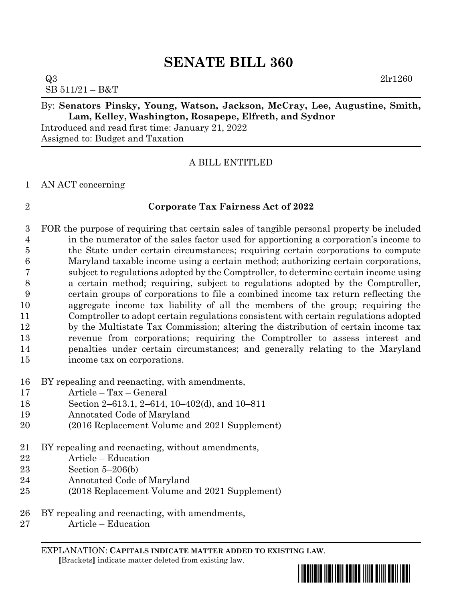# **SENATE BILL 360**

 $Q3$  2lr1260 SB 511/21 – B&T

#### By: **Senators Pinsky, Young, Watson, Jackson, McCray, Lee, Augustine, Smith, Lam, Kelley, Washington, Rosapepe, Elfreth, and Sydnor**

Introduced and read first time: January 21, 2022 Assigned to: Budget and Taxation

### A BILL ENTITLED

#### AN ACT concerning

#### **Corporate Tax Fairness Act of 2022**

 FOR the purpose of requiring that certain sales of tangible personal property be included in the numerator of the sales factor used for apportioning a corporation's income to the State under certain circumstances; requiring certain corporations to compute Maryland taxable income using a certain method; authorizing certain corporations, subject to regulations adopted by the Comptroller, to determine certain income using a certain method; requiring, subject to regulations adopted by the Comptroller, certain groups of corporations to file a combined income tax return reflecting the aggregate income tax liability of all the members of the group; requiring the Comptroller to adopt certain regulations consistent with certain regulations adopted by the Multistate Tax Commission; altering the distribution of certain income tax revenue from corporations; requiring the Comptroller to assess interest and penalties under certain circumstances; and generally relating to the Maryland income tax on corporations.

- BY repealing and reenacting, with amendments,
- Article Tax General
- Section 2–613.1, 2–614, 10–402(d), and 10–811
- Annotated Code of Maryland
- (2016 Replacement Volume and 2021 Supplement)
- BY repealing and reenacting, without amendments,
- Article Education
- Section 5–206(b)
- Annotated Code of Maryland
- (2018 Replacement Volume and 2021 Supplement)
- BY repealing and reenacting, with amendments,
- Article Education

EXPLANATION: **CAPITALS INDICATE MATTER ADDED TO EXISTING LAW**.  **[**Brackets**]** indicate matter deleted from existing law.

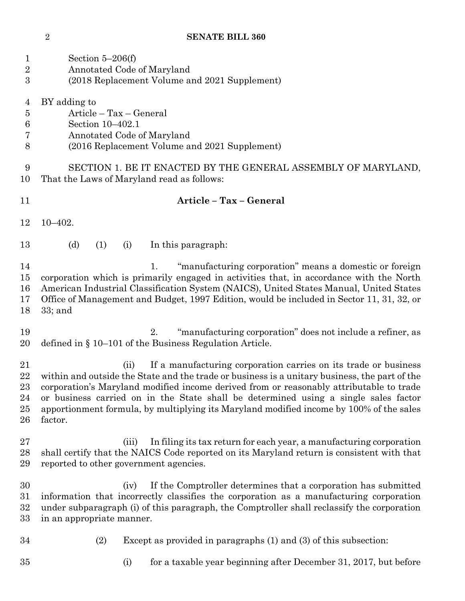| 1<br>$\overline{2}$<br>$\overline{3}$               | Section $5-206(f)$<br>Annotated Code of Maryland<br>(2018 Replacement Volume and 2021 Supplement)                                                                                                                                                                                                                                                                                                                                                                |  |  |  |  |
|-----------------------------------------------------|------------------------------------------------------------------------------------------------------------------------------------------------------------------------------------------------------------------------------------------------------------------------------------------------------------------------------------------------------------------------------------------------------------------------------------------------------------------|--|--|--|--|
| $\overline{4}$<br>$\overline{5}$<br>$\,6$<br>7<br>8 | BY adding to<br>Article – Tax – General<br>Section 10-402.1<br>Annotated Code of Maryland<br>(2016 Replacement Volume and 2021 Supplement)                                                                                                                                                                                                                                                                                                                       |  |  |  |  |
| 9<br>10                                             | SECTION 1. BE IT ENACTED BY THE GENERAL ASSEMBLY OF MARYLAND,<br>That the Laws of Maryland read as follows:                                                                                                                                                                                                                                                                                                                                                      |  |  |  |  |
| 11                                                  | Article - Tax - General                                                                                                                                                                                                                                                                                                                                                                                                                                          |  |  |  |  |
| 12                                                  | $10 - 402.$                                                                                                                                                                                                                                                                                                                                                                                                                                                      |  |  |  |  |
| 13                                                  | (d)<br>(1)<br>In this paragraph:<br>(i)                                                                                                                                                                                                                                                                                                                                                                                                                          |  |  |  |  |
| 14<br>15<br>16<br>17<br>18                          | "manufacturing corporation" means a domestic or foreign<br>1.<br>corporation which is primarily engaged in activities that, in accordance with the North<br>American Industrial Classification System (NAICS), United States Manual, United States<br>Office of Management and Budget, 1997 Edition, would be included in Sector 11, 31, 32, or<br>$33;$ and                                                                                                     |  |  |  |  |
| 19<br>20                                            | "manufacturing corporation" does not include a refiner, as<br>2.<br>defined in $\S$ 10–101 of the Business Regulation Article.                                                                                                                                                                                                                                                                                                                                   |  |  |  |  |
| 21<br>22<br>23<br>24<br>25<br>26                    | If a manufacturing corporation carries on its trade or business<br>(ii)<br>within and outside the State and the trade or business is a unitary business, the part of the<br>corporation's Maryland modified income derived from or reasonably attributable to trade<br>or business carried on in the State shall be determined using a single sales factor<br>apportionment formula, by multiplying its Maryland modified income by 100% of the sales<br>factor. |  |  |  |  |
| 27<br>28<br>29                                      | In filing its tax return for each year, a manufacturing corporation<br>(iii)<br>shall certify that the NAICS Code reported on its Maryland return is consistent with that<br>reported to other government agencies.                                                                                                                                                                                                                                              |  |  |  |  |
| 30<br>31<br>32<br>33                                | If the Comptroller determines that a corporation has submitted<br>(iv)<br>information that incorrectly classifies the corporation as a manufacturing corporation<br>under subparagraph (i) of this paragraph, the Comptroller shall reclassify the corporation<br>in an appropriate manner.                                                                                                                                                                      |  |  |  |  |
| 34                                                  | (2)<br>Except as provided in paragraphs (1) and (3) of this subsection:                                                                                                                                                                                                                                                                                                                                                                                          |  |  |  |  |
| 35                                                  | for a taxable year beginning after December 31, 2017, but before<br>(i)                                                                                                                                                                                                                                                                                                                                                                                          |  |  |  |  |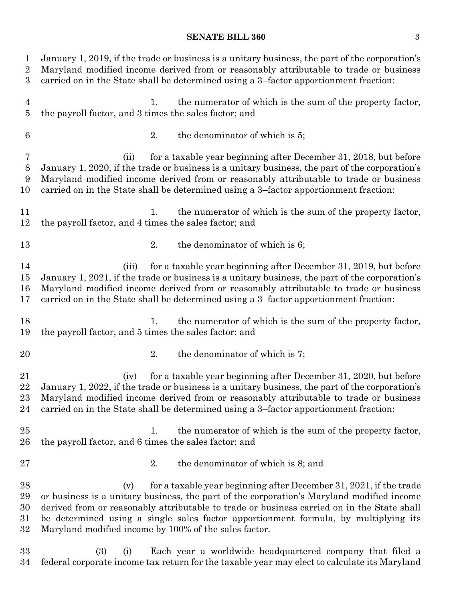#### **SENATE BILL 360** 3

 January 1, 2019, if the trade or business is a unitary business, the part of the corporation's Maryland modified income derived from or reasonably attributable to trade or business carried on in the State shall be determined using a 3–factor apportionment fraction: 1. the numerator of which is the sum of the property factor, the payroll factor, and 3 times the sales factor; and 2. the denominator of which is 5; (ii) for a taxable year beginning after December 31, 2018, but before January 1, 2020, if the trade or business is a unitary business, the part of the corporation's Maryland modified income derived from or reasonably attributable to trade or business carried on in the State shall be determined using a 3–factor apportionment fraction: 11 1. the numerator of which is the sum of the property factor, the payroll factor, and 4 times the sales factor; and 13 2. the denominator of which is 6; (iii) for a taxable year beginning after December 31, 2019, but before January 1, 2021, if the trade or business is a unitary business, the part of the corporation's Maryland modified income derived from or reasonably attributable to trade or business carried on in the State shall be determined using a 3–factor apportionment fraction: 18 18 1. the numerator of which is the sum of the property factor, the payroll factor, and 5 times the sales factor; and 20 2. the denominator of which is 7; (iv) for a taxable year beginning after December 31, 2020, but before January 1, 2022, if the trade or business is a unitary business, the part of the corporation's Maryland modified income derived from or reasonably attributable to trade or business carried on in the State shall be determined using a 3–factor apportionment fraction: 25 1. the numerator of which is the sum of the property factor, the payroll factor, and 6 times the sales factor; and 2. the denominator of which is 8; and 28 (v) for a taxable year beginning after December 31, 2021, if the trade or business is a unitary business, the part of the corporation's Maryland modified income derived from or reasonably attributable to trade or business carried on in the State shall be determined using a single sales factor apportionment formula, by multiplying its Maryland modified income by 100% of the sales factor. (3) (i) Each year a worldwide headquartered company that filed a

federal corporate income tax return for the taxable year may elect to calculate its Maryland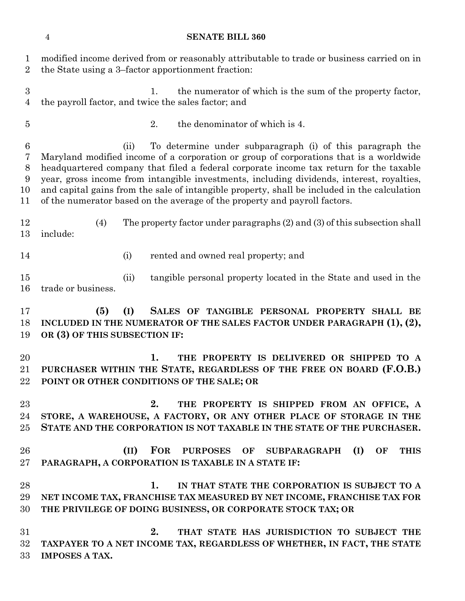#### **SENATE BILL 360**

| 1<br>$\overline{2}$                            | modified income derived from or reasonably attributable to trade or business carried on in<br>the State using a 3-factor apportionment fraction:                                                                                                                                                                                                                                                                                                                                                                                 |  |  |  |  |
|------------------------------------------------|----------------------------------------------------------------------------------------------------------------------------------------------------------------------------------------------------------------------------------------------------------------------------------------------------------------------------------------------------------------------------------------------------------------------------------------------------------------------------------------------------------------------------------|--|--|--|--|
| 3<br>4                                         | the numerator of which is the sum of the property factor,<br>1.<br>the payroll factor, and twice the sales factor; and                                                                                                                                                                                                                                                                                                                                                                                                           |  |  |  |  |
| $\overline{5}$                                 | the denominator of which is 4.<br>2.                                                                                                                                                                                                                                                                                                                                                                                                                                                                                             |  |  |  |  |
| $6\phantom{.}6$<br>7<br>$8\,$<br>9<br>10<br>11 | To determine under subparagraph (i) of this paragraph the<br>(ii)<br>Maryland modified income of a corporation or group of corporations that is a worldwide<br>headquartered company that filed a federal corporate income tax return for the taxable<br>year, gross income from intangible investments, including dividends, interest, royalties,<br>and capital gains from the sale of intangible property, shall be included in the calculation<br>of the numerator based on the average of the property and payroll factors. |  |  |  |  |
| 12<br>13                                       | The property factor under paragraphs $(2)$ and $(3)$ of this subsection shall<br>(4)<br>include:                                                                                                                                                                                                                                                                                                                                                                                                                                 |  |  |  |  |
| 14                                             | rented and owned real property; and<br>(i)                                                                                                                                                                                                                                                                                                                                                                                                                                                                                       |  |  |  |  |
| 15<br>16                                       | tangible personal property located in the State and used in the<br>(ii)<br>trade or business.                                                                                                                                                                                                                                                                                                                                                                                                                                    |  |  |  |  |
| 17<br>18<br>19                                 | (5)<br>(I)<br>SALES OF TANGIBLE PERSONAL PROPERTY SHALL BE<br>INCLUDED IN THE NUMERATOR OF THE SALES FACTOR UNDER PARAGRAPH $(1), (2),$<br>OR (3) OF THIS SUBSECTION IF:                                                                                                                                                                                                                                                                                                                                                         |  |  |  |  |
| 20<br>21<br>22                                 | 1.<br>THE PROPERTY IS DELIVERED OR SHIPPED TO A<br>PURCHASER WITHIN THE STATE, REGARDLESS OF THE FREE ON BOARD (F.O.B.)<br>POINT OR OTHER CONDITIONS OF THE SALE; OR                                                                                                                                                                                                                                                                                                                                                             |  |  |  |  |
| 23<br>24<br>25                                 | 2.<br>THE PROPERTY IS SHIPPED FROM AN OFFICE, A<br>STORE, A WAREHOUSE, A FACTORY, OR ANY OTHER PLACE OF STORAGE IN THE<br>STATE AND THE CORPORATION IS NOT TAXABLE IN THE STATE OF THE PURCHASER.                                                                                                                                                                                                                                                                                                                                |  |  |  |  |
| 26<br>27                                       | <b>FOR</b><br><b>PURPOSES</b><br>(II)<br>OF<br><b>SUBPARAGRAPH</b><br>(I)<br><b>THIS</b><br>OF<br>PARAGRAPH, A CORPORATION IS TAXABLE IN A STATE IF:                                                                                                                                                                                                                                                                                                                                                                             |  |  |  |  |
| 28<br>29<br>30                                 | 1.<br>IN THAT STATE THE CORPORATION IS SUBJECT TO A<br>NET INCOME TAX, FRANCHISE TAX MEASURED BY NET INCOME, FRANCHISE TAX FOR<br>THE PRIVILEGE OF DOING BUSINESS, OR CORPORATE STOCK TAX; OR                                                                                                                                                                                                                                                                                                                                    |  |  |  |  |
| 31<br>32<br>33                                 | 2.<br>THAT STATE HAS JURISDICTION TO SUBJECT THE<br>TAXPAYER TO A NET INCOME TAX, REGARDLESS OF WHETHER, IN FACT, THE STATE<br><b>IMPOSES A TAX.</b>                                                                                                                                                                                                                                                                                                                                                                             |  |  |  |  |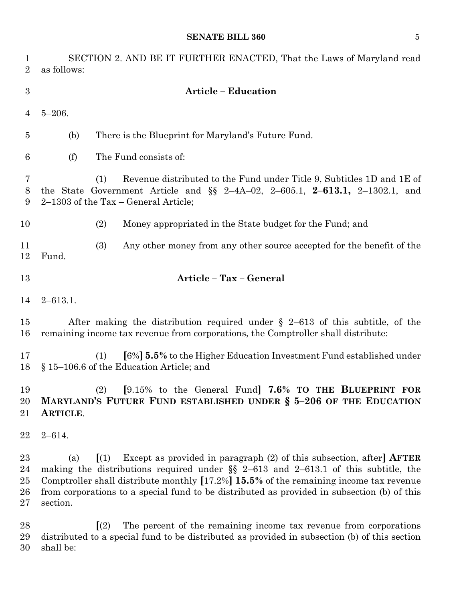#### **SENATE BILL 360** 5

| 1<br>$\overline{2}$        | SECTION 2. AND BE IT FURTHER ENACTED, That the Laws of Maryland read<br>as follows:                                                                                                                                                                                                                                                                                                                                                    |
|----------------------------|----------------------------------------------------------------------------------------------------------------------------------------------------------------------------------------------------------------------------------------------------------------------------------------------------------------------------------------------------------------------------------------------------------------------------------------|
| 3                          | <b>Article - Education</b>                                                                                                                                                                                                                                                                                                                                                                                                             |
| $\overline{4}$             | $5 - 206.$                                                                                                                                                                                                                                                                                                                                                                                                                             |
| $\overline{5}$             | There is the Blueprint for Maryland's Future Fund.<br>(b)                                                                                                                                                                                                                                                                                                                                                                              |
| 6                          | The Fund consists of:<br>(f)                                                                                                                                                                                                                                                                                                                                                                                                           |
| 7<br>$8\phantom{1}$<br>9   | Revenue distributed to the Fund under Title 9, Subtitles 1D and 1E of<br>(1)<br>the State Government Article and $\S$ 2-4A-02, 2-605.1, 2-613.1, 2-1302.1, and<br>$2-1303$ of the Tax – General Article;                                                                                                                                                                                                                               |
| 10                         | Money appropriated in the State budget for the Fund; and<br>(2)                                                                                                                                                                                                                                                                                                                                                                        |
| 11<br>12                   | (3)<br>Any other money from any other source accepted for the benefit of the<br>Fund.                                                                                                                                                                                                                                                                                                                                                  |
| 13                         | Article - Tax - General                                                                                                                                                                                                                                                                                                                                                                                                                |
| 14                         | $2 - 613.1.$                                                                                                                                                                                                                                                                                                                                                                                                                           |
| 15<br>16                   | After making the distribution required under $\S$ 2-613 of this subtitle, of the<br>remaining income tax revenue from corporations, the Comptroller shall distribute:                                                                                                                                                                                                                                                                  |
| 17<br>18                   | [6%] <b>5.5%</b> to the Higher Education Investment Fund established under<br>(1)<br>§ 15–106.6 of the Education Article; and                                                                                                                                                                                                                                                                                                          |
| 19<br>20<br>21             | $(2)$ [9.15% to the General Fund] 7.6% TO THE BLUEPRINT FOR<br>MARYLAND'S FUTURE FUND ESTABLISHED UNDER § 5-206 OF THE EDUCATION<br>ARTICLE.                                                                                                                                                                                                                                                                                           |
| 22                         | $2 - 614.$                                                                                                                                                                                                                                                                                                                                                                                                                             |
| 23<br>24<br>25<br>26<br>27 | Except as provided in paragraph $(2)$ of this subsection, after <b>AFTER</b><br>$\left[ \begin{array}{c} 1 \end{array} \right]$<br>(a)<br>making the distributions required under $\S$ 2-613 and 2-613.1 of this subtitle, the<br>Comptroller shall distribute monthly $[17.2\%]$ 15.5% of the remaining income tax revenue<br>from corporations to a special fund to be distributed as provided in subsection (b) of this<br>section. |
| 28<br>29<br>30             | The percent of the remaining income tax revenue from corporations<br>$\left[ \mathrm{(2)}\right]$<br>distributed to a special fund to be distributed as provided in subsection (b) of this section<br>shall be:                                                                                                                                                                                                                        |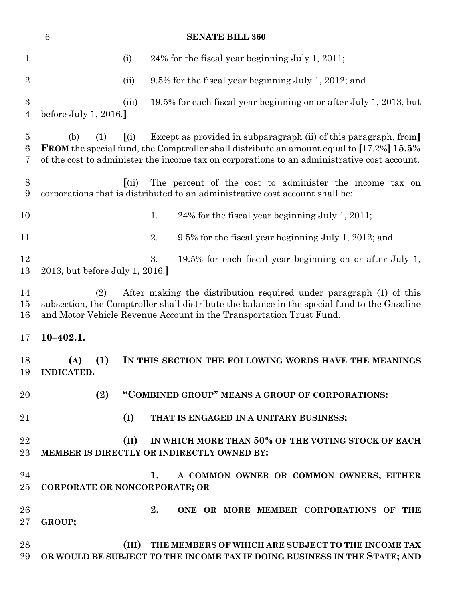|                          | $\,6\,$<br><b>SENATE BILL 360</b> |       |                                                                                                                                                                                                                                                                   |  |  |
|--------------------------|-----------------------------------|-------|-------------------------------------------------------------------------------------------------------------------------------------------------------------------------------------------------------------------------------------------------------------------|--|--|
| 1                        |                                   | (i)   | 24% for the fiscal year beginning July 1, 2011;                                                                                                                                                                                                                   |  |  |
| $\overline{2}$           |                                   | (ii)  | 9.5% for the fiscal year beginning July 1, 2012; and                                                                                                                                                                                                              |  |  |
| $\boldsymbol{3}$<br>4    | before July 1, 2016.              | (iii) | 19.5% for each fiscal year beginning on or after July 1, 2013, but                                                                                                                                                                                                |  |  |
| $\overline{5}$<br>6<br>7 | (b)<br>(1)                        | (i)   | Except as provided in subparagraph (ii) of this paragraph, from<br><b>FROM</b> the special fund, the Comptroller shall distribute an amount equal to [17.2%] 15.5%<br>of the cost to administer the income tax on corporations to an administrative cost account. |  |  |
| $8\,$<br>9               |                                   | (iii) | The percent of the cost to administer the income tax on<br>corporations that is distributed to an administrative cost account shall be:                                                                                                                           |  |  |
| 10                       |                                   |       | 1.<br>24% for the fiscal year beginning July 1, 2011;                                                                                                                                                                                                             |  |  |
| 11                       |                                   |       | 2.<br>9.5% for the fiscal year beginning July 1, 2012; and                                                                                                                                                                                                        |  |  |
| 12<br>13                 | 2013, but before July 1, 2016.    |       | 19.5% for each fiscal year beginning on or after July 1,<br>3.                                                                                                                                                                                                    |  |  |
| 14<br>15<br>16           | (2)                               |       | After making the distribution required under paragraph (1) of this<br>subsection, the Comptroller shall distribute the balance in the special fund to the Gasoline<br>and Motor Vehicle Revenue Account in the Transportation Trust Fund.                         |  |  |
| 17                       | $10 - 402.1.$                     |       |                                                                                                                                                                                                                                                                   |  |  |
| 18<br>19                 | (1)<br>(A)<br><b>INDICATED.</b>   |       | IN THIS SECTION THE FOLLOWING WORDS HAVE THE MEANINGS                                                                                                                                                                                                             |  |  |
| 20                       | (2)                               |       | "COMBINED GROUP" MEANS A GROUP OF CORPORATIONS:                                                                                                                                                                                                                   |  |  |
| 21                       |                                   | (I)   | THAT IS ENGAGED IN A UNITARY BUSINESS;                                                                                                                                                                                                                            |  |  |
| 22<br>23                 |                                   | (II)  | IN WHICH MORE THAN 50% OF THE VOTING STOCK OF EACH<br>MEMBER IS DIRECTLY OR INDIRECTLY OWNED BY:                                                                                                                                                                  |  |  |
| 24<br>25                 | CORPORATE OR NONCORPORATE; OR     |       | A COMMON OWNER OR COMMON OWNERS, EITHER<br>1.                                                                                                                                                                                                                     |  |  |
| 26<br>27                 | GROUP;                            |       | 2.<br>ONE OR MORE MEMBER CORPORATIONS OF THE                                                                                                                                                                                                                      |  |  |
| 28<br>29                 |                                   | (III) | THE MEMBERS OF WHICH ARE SUBJECT TO THE INCOME TAX<br>OR WOULD BE SUBJECT TO THE INCOME TAX IF DOING BUSINESS IN THE STATE; AND                                                                                                                                   |  |  |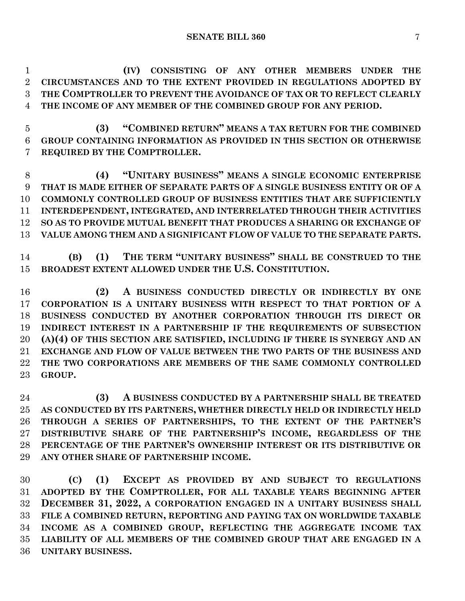**(IV) CONSISTING OF ANY OTHER MEMBERS UNDER THE CIRCUMSTANCES AND TO THE EXTENT PROVIDED IN REGULATIONS ADOPTED BY THE COMPTROLLER TO PREVENT THE AVOIDANCE OF TAX OR TO REFLECT CLEARLY THE INCOME OF ANY MEMBER OF THE COMBINED GROUP FOR ANY PERIOD.**

 **(3) "COMBINED RETURN" MEANS A TAX RETURN FOR THE COMBINED GROUP CONTAINING INFORMATION AS PROVIDED IN THIS SECTION OR OTHERWISE REQUIRED BY THE COMPTROLLER.**

 **(4) "UNITARY BUSINESS" MEANS A SINGLE ECONOMIC ENTERPRISE THAT IS MADE EITHER OF SEPARATE PARTS OF A SINGLE BUSINESS ENTITY OR OF A COMMONLY CONTROLLED GROUP OF BUSINESS ENTITIES THAT ARE SUFFICIENTLY INTERDEPENDENT, INTEGRATED, AND INTERRELATED THROUGH THEIR ACTIVITIES SO AS TO PROVIDE MUTUAL BENEFIT THAT PRODUCES A SHARING OR EXCHANGE OF VALUE AMONG THEM AND A SIGNIFICANT FLOW OF VALUE TO THE SEPARATE PARTS.**

 **(B) (1) THE TERM "UNITARY BUSINESS" SHALL BE CONSTRUED TO THE BROADEST EXTENT ALLOWED UNDER THE U.S. CONSTITUTION.**

 **(2) A BUSINESS CONDUCTED DIRECTLY OR INDIRECTLY BY ONE CORPORATION IS A UNITARY BUSINESS WITH RESPECT TO THAT PORTION OF A BUSINESS CONDUCTED BY ANOTHER CORPORATION THROUGH ITS DIRECT OR INDIRECT INTEREST IN A PARTNERSHIP IF THE REQUIREMENTS OF SUBSECTION (A)(4) OF THIS SECTION ARE SATISFIED, INCLUDING IF THERE IS SYNERGY AND AN EXCHANGE AND FLOW OF VALUE BETWEEN THE TWO PARTS OF THE BUSINESS AND THE TWO CORPORATIONS ARE MEMBERS OF THE SAME COMMONLY CONTROLLED GROUP.**

 **(3) A BUSINESS CONDUCTED BY A PARTNERSHIP SHALL BE TREATED AS CONDUCTED BY ITS PARTNERS, WHETHER DIRECTLY HELD OR INDIRECTLY HELD THROUGH A SERIES OF PARTNERSHIPS, TO THE EXTENT OF THE PARTNER'S DISTRIBUTIVE SHARE OF THE PARTNERSHIP'S INCOME, REGARDLESS OF THE PERCENTAGE OF THE PARTNER'S OWNERSHIP INTEREST OR ITS DISTRIBUTIVE OR ANY OTHER SHARE OF PARTNERSHIP INCOME.**

 **(C) (1) EXCEPT AS PROVIDED BY AND SUBJECT TO REGULATIONS ADOPTED BY THE COMPTROLLER, FOR ALL TAXABLE YEARS BEGINNING AFTER DECEMBER 31, 2022, A CORPORATION ENGAGED IN A UNITARY BUSINESS SHALL FILE A COMBINED RETURN, REPORTING AND PAYING TAX ON WORLDWIDE TAXABLE INCOME AS A COMBINED GROUP, REFLECTING THE AGGREGATE INCOME TAX LIABILITY OF ALL MEMBERS OF THE COMBINED GROUP THAT ARE ENGAGED IN A UNITARY BUSINESS.**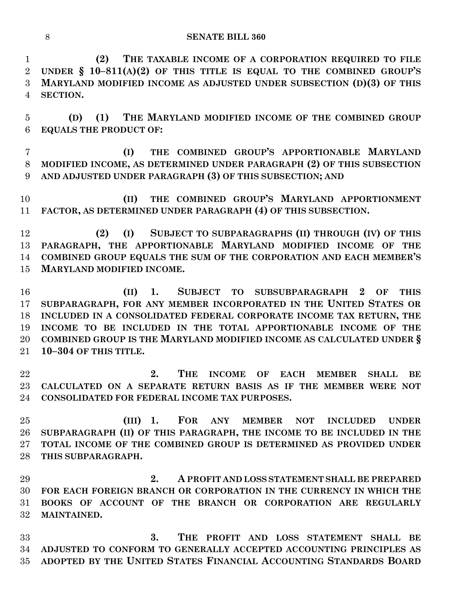**(2) THE TAXABLE INCOME OF A CORPORATION REQUIRED TO FILE UNDER § 10–811(A)(2) OF THIS TITLE IS EQUAL TO THE COMBINED GROUP'S MARYLAND MODIFIED INCOME AS ADJUSTED UNDER SUBSECTION (D)(3) OF THIS SECTION.**

 **(D) (1) THE MARYLAND MODIFIED INCOME OF THE COMBINED GROUP EQUALS THE PRODUCT OF:**

 **(I) THE COMBINED GROUP'S APPORTIONABLE MARYLAND MODIFIED INCOME, AS DETERMINED UNDER PARAGRAPH (2) OF THIS SUBSECTION AND ADJUSTED UNDER PARAGRAPH (3) OF THIS SUBSECTION; AND**

 **(II) THE COMBINED GROUP'S MARYLAND APPORTIONMENT FACTOR, AS DETERMINED UNDER PARAGRAPH (4) OF THIS SUBSECTION.**

 **(2) (I) SUBJECT TO SUBPARAGRAPHS (II) THROUGH (IV) OF THIS PARAGRAPH, THE APPORTIONABLE MARYLAND MODIFIED INCOME OF THE COMBINED GROUP EQUALS THE SUM OF THE CORPORATION AND EACH MEMBER'S MARYLAND MODIFIED INCOME.**

 **(II) 1. SUBJECT TO SUBSUBPARAGRAPH 2 OF THIS SUBPARAGRAPH, FOR ANY MEMBER INCORPORATED IN THE UNITED STATES OR INCLUDED IN A CONSOLIDATED FEDERAL CORPORATE INCOME TAX RETURN, THE INCOME TO BE INCLUDED IN THE TOTAL APPORTIONABLE INCOME OF THE COMBINED GROUP IS THE MARYLAND MODIFIED INCOME AS CALCULATED UNDER § 10–304 OF THIS TITLE.**

 **2. THE INCOME OF EACH MEMBER SHALL BE CALCULATED ON A SEPARATE RETURN BASIS AS IF THE MEMBER WERE NOT CONSOLIDATED FOR FEDERAL INCOME TAX PURPOSES.**

 **(III) 1. FOR ANY MEMBER NOT INCLUDED UNDER SUBPARAGRAPH (II) OF THIS PARAGRAPH, THE INCOME TO BE INCLUDED IN THE TOTAL INCOME OF THE COMBINED GROUP IS DETERMINED AS PROVIDED UNDER THIS SUBPARAGRAPH.**

 **2. A PROFIT AND LOSS STATEMENT SHALL BE PREPARED FOR EACH FOREIGN BRANCH OR CORPORATION IN THE CURRENCY IN WHICH THE BOOKS OF ACCOUNT OF THE BRANCH OR CORPORATION ARE REGULARLY MAINTAINED.**

 **3. THE PROFIT AND LOSS STATEMENT SHALL BE ADJUSTED TO CONFORM TO GENERALLY ACCEPTED ACCOUNTING PRINCIPLES AS ADOPTED BY THE UNITED STATES FINANCIAL ACCOUNTING STANDARDS BOARD**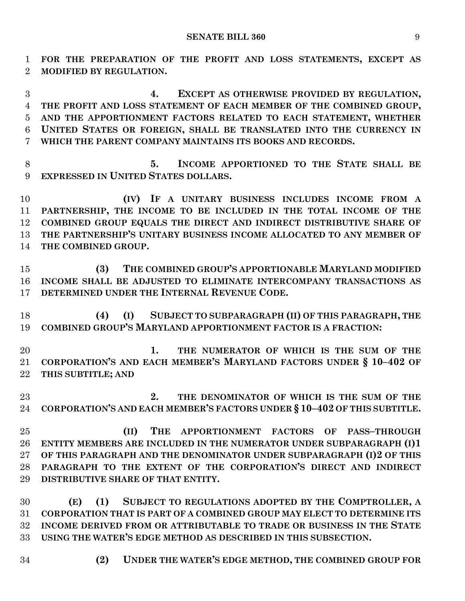**FOR THE PREPARATION OF THE PROFIT AND LOSS STATEMENTS, EXCEPT AS MODIFIED BY REGULATION.**

 **4. EXCEPT AS OTHERWISE PROVIDED BY REGULATION, THE PROFIT AND LOSS STATEMENT OF EACH MEMBER OF THE COMBINED GROUP, AND THE APPORTIONMENT FACTORS RELATED TO EACH STATEMENT, WHETHER UNITED STATES OR FOREIGN, SHALL BE TRANSLATED INTO THE CURRENCY IN WHICH THE PARENT COMPANY MAINTAINS ITS BOOKS AND RECORDS.**

 **5. INCOME APPORTIONED TO THE STATE SHALL BE EXPRESSED IN UNITED STATES DOLLARS.**

 **(IV) IF A UNITARY BUSINESS INCLUDES INCOME FROM A PARTNERSHIP, THE INCOME TO BE INCLUDED IN THE TOTAL INCOME OF THE COMBINED GROUP EQUALS THE DIRECT AND INDIRECT DISTRIBUTIVE SHARE OF THE PARTNERSHIP'S UNITARY BUSINESS INCOME ALLOCATED TO ANY MEMBER OF THE COMBINED GROUP.**

 **(3) THE COMBINED GROUP'S APPORTIONABLE MARYLAND MODIFIED INCOME SHALL BE ADJUSTED TO ELIMINATE INTERCOMPANY TRANSACTIONS AS DETERMINED UNDER THE INTERNAL REVENUE CODE.**

 **(4) (I) SUBJECT TO SUBPARAGRAPH (II) OF THIS PARAGRAPH, THE COMBINED GROUP'S MARYLAND APPORTIONMENT FACTOR IS A FRACTION:**

 **1. THE NUMERATOR OF WHICH IS THE SUM OF THE CORPORATION'S AND EACH MEMBER'S MARYLAND FACTORS UNDER § 10–402 OF THIS SUBTITLE; AND**

 **2. THE DENOMINATOR OF WHICH IS THE SUM OF THE CORPORATION'S AND EACH MEMBER'S FACTORS UNDER § 10–402 OF THIS SUBTITLE.**

 **(II) THE APPORTIONMENT FACTORS OF PASS–THROUGH ENTITY MEMBERS ARE INCLUDED IN THE NUMERATOR UNDER SUBPARAGRAPH (I)1 OF THIS PARAGRAPH AND THE DENOMINATOR UNDER SUBPARAGRAPH (I)2 OF THIS PARAGRAPH TO THE EXTENT OF THE CORPORATION'S DIRECT AND INDIRECT DISTRIBUTIVE SHARE OF THAT ENTITY.**

 **(E) (1) SUBJECT TO REGULATIONS ADOPTED BY THE COMPTROLLER, A CORPORATION THAT IS PART OF A COMBINED GROUP MAY ELECT TO DETERMINE ITS INCOME DERIVED FROM OR ATTRIBUTABLE TO TRADE OR BUSINESS IN THE STATE USING THE WATER'S EDGE METHOD AS DESCRIBED IN THIS SUBSECTION.**

- 
- **(2) UNDER THE WATER'S EDGE METHOD, THE COMBINED GROUP FOR**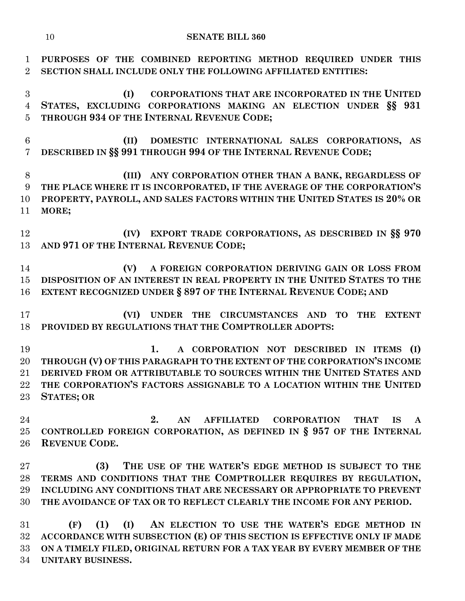**PURPOSES OF THE COMBINED REPORTING METHOD REQUIRED UNDER THIS SECTION SHALL INCLUDE ONLY THE FOLLOWING AFFILIATED ENTITIES:**

 **(I) CORPORATIONS THAT ARE INCORPORATED IN THE UNITED STATES, EXCLUDING CORPORATIONS MAKING AN ELECTION UNDER §§ 931 THROUGH 934 OF THE INTERNAL REVENUE CODE;**

 **(II) DOMESTIC INTERNATIONAL SALES CORPORATIONS, AS DESCRIBED IN §§ 991 THROUGH 994 OF THE INTERNAL REVENUE CODE;**

 **(III) ANY CORPORATION OTHER THAN A BANK, REGARDLESS OF THE PLACE WHERE IT IS INCORPORATED, IF THE AVERAGE OF THE CORPORATION'S PROPERTY, PAYROLL, AND SALES FACTORS WITHIN THE UNITED STATES IS 20% OR MORE;**

 **(IV) EXPORT TRADE CORPORATIONS, AS DESCRIBED IN §§ 970 AND 971 OF THE INTERNAL REVENUE CODE;**

 **(V) A FOREIGN CORPORATION DERIVING GAIN OR LOSS FROM DISPOSITION OF AN INTEREST IN REAL PROPERTY IN THE UNITED STATES TO THE EXTENT RECOGNIZED UNDER § 897 OF THE INTERNAL REVENUE CODE; AND**

 **(VI) UNDER THE CIRCUMSTANCES AND TO THE EXTENT PROVIDED BY REGULATIONS THAT THE COMPTROLLER ADOPTS:**

 **1. A CORPORATION NOT DESCRIBED IN ITEMS (I) THROUGH (V) OF THIS PARAGRAPH TO THE EXTENT OF THE CORPORATION'S INCOME DERIVED FROM OR ATTRIBUTABLE TO SOURCES WITHIN THE UNITED STATES AND THE CORPORATION'S FACTORS ASSIGNABLE TO A LOCATION WITHIN THE UNITED STATES; OR**

 **2. AN AFFILIATED CORPORATION THAT IS A CONTROLLED FOREIGN CORPORATION, AS DEFINED IN § 957 OF THE INTERNAL REVENUE CODE.**

 **(3) THE USE OF THE WATER'S EDGE METHOD IS SUBJECT TO THE TERMS AND CONDITIONS THAT THE COMPTROLLER REQUIRES BY REGULATION, INCLUDING ANY CONDITIONS THAT ARE NECESSARY OR APPROPRIATE TO PREVENT THE AVOIDANCE OF TAX OR TO REFLECT CLEARLY THE INCOME FOR ANY PERIOD.**

 **(F) (1) (I) AN ELECTION TO USE THE WATER'S EDGE METHOD IN ACCORDANCE WITH SUBSECTION (E) OF THIS SECTION IS EFFECTIVE ONLY IF MADE ON A TIMELY FILED, ORIGINAL RETURN FOR A TAX YEAR BY EVERY MEMBER OF THE UNITARY BUSINESS.**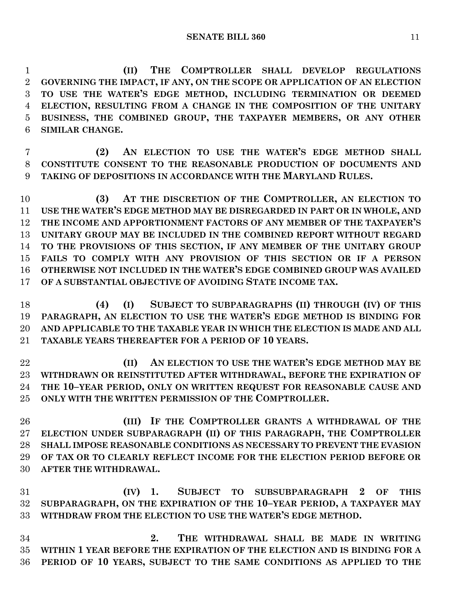**(II) THE COMPTROLLER SHALL DEVELOP REGULATIONS GOVERNING THE IMPACT, IF ANY, ON THE SCOPE OR APPLICATION OF AN ELECTION TO USE THE WATER'S EDGE METHOD, INCLUDING TERMINATION OR DEEMED ELECTION, RESULTING FROM A CHANGE IN THE COMPOSITION OF THE UNITARY BUSINESS, THE COMBINED GROUP, THE TAXPAYER MEMBERS, OR ANY OTHER SIMILAR CHANGE.**

 **(2) AN ELECTION TO USE THE WATER'S EDGE METHOD SHALL CONSTITUTE CONSENT TO THE REASONABLE PRODUCTION OF DOCUMENTS AND TAKING OF DEPOSITIONS IN ACCORDANCE WITH THE MARYLAND RULES.**

 **(3) AT THE DISCRETION OF THE COMPTROLLER, AN ELECTION TO USE THE WATER'S EDGE METHOD MAY BE DISREGARDED IN PART OR IN WHOLE, AND THE INCOME AND APPORTIONMENT FACTORS OF ANY MEMBER OF THE TAXPAYER'S UNITARY GROUP MAY BE INCLUDED IN THE COMBINED REPORT WITHOUT REGARD TO THE PROVISIONS OF THIS SECTION, IF ANY MEMBER OF THE UNITARY GROUP FAILS TO COMPLY WITH ANY PROVISION OF THIS SECTION OR IF A PERSON OTHERWISE NOT INCLUDED IN THE WATER'S EDGE COMBINED GROUP WAS AVAILED OF A SUBSTANTIAL OBJECTIVE OF AVOIDING STATE INCOME TAX.**

- **(4) (I) SUBJECT TO SUBPARAGRAPHS (II) THROUGH (IV) OF THIS PARAGRAPH, AN ELECTION TO USE THE WATER'S EDGE METHOD IS BINDING FOR AND APPLICABLE TO THE TAXABLE YEAR IN WHICH THE ELECTION IS MADE AND ALL TAXABLE YEARS THEREAFTER FOR A PERIOD OF 10 YEARS.**
- **(II) AN ELECTION TO USE THE WATER'S EDGE METHOD MAY BE WITHDRAWN OR REINSTITUTED AFTER WITHDRAWAL, BEFORE THE EXPIRATION OF THE 10–YEAR PERIOD, ONLY ON WRITTEN REQUEST FOR REASONABLE CAUSE AND ONLY WITH THE WRITTEN PERMISSION OF THE COMPTROLLER.**

 **(III) IF THE COMPTROLLER GRANTS A WITHDRAWAL OF THE ELECTION UNDER SUBPARAGRAPH (II) OF THIS PARAGRAPH, THE COMPTROLLER SHALL IMPOSE REASONABLE CONDITIONS AS NECESSARY TO PREVENT THE EVASION OF TAX OR TO CLEARLY REFLECT INCOME FOR THE ELECTION PERIOD BEFORE OR AFTER THE WITHDRAWAL.**

 **(IV) 1. SUBJECT TO SUBSUBPARAGRAPH 2 OF THIS SUBPARAGRAPH, ON THE EXPIRATION OF THE 10–YEAR PERIOD, A TAXPAYER MAY WITHDRAW FROM THE ELECTION TO USE THE WATER'S EDGE METHOD.**

 **2. THE WITHDRAWAL SHALL BE MADE IN WRITING WITHIN 1 YEAR BEFORE THE EXPIRATION OF THE ELECTION AND IS BINDING FOR A PERIOD OF 10 YEARS, SUBJECT TO THE SAME CONDITIONS AS APPLIED TO THE**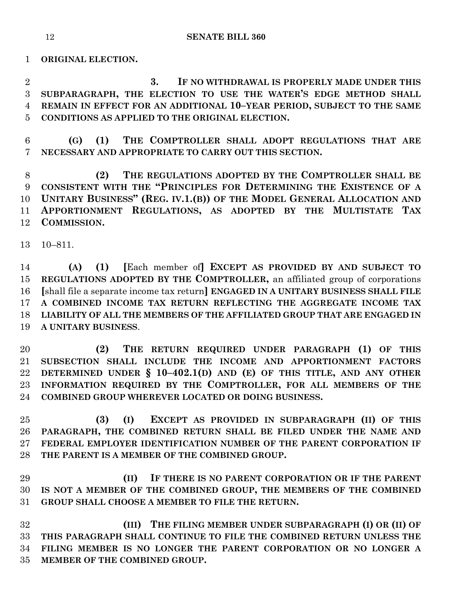**ORIGINAL ELECTION.**

 **3. IF NO WITHDRAWAL IS PROPERLY MADE UNDER THIS SUBPARAGRAPH, THE ELECTION TO USE THE WATER'S EDGE METHOD SHALL REMAIN IN EFFECT FOR AN ADDITIONAL 10–YEAR PERIOD, SUBJECT TO THE SAME CONDITIONS AS APPLIED TO THE ORIGINAL ELECTION.**

 **(G) (1) THE COMPTROLLER SHALL ADOPT REGULATIONS THAT ARE NECESSARY AND APPROPRIATE TO CARRY OUT THIS SECTION.**

 **(2) THE REGULATIONS ADOPTED BY THE COMPTROLLER SHALL BE CONSISTENT WITH THE "PRINCIPLES FOR DETERMINING THE EXISTENCE OF A UNITARY BUSINESS" (REG. IV.1.(B)) OF THE MODEL GENERAL ALLOCATION AND APPORTIONMENT REGULATIONS, AS ADOPTED BY THE MULTISTATE TAX COMMISSION.**

10–811.

 **(A) (1) [**Each member of**] EXCEPT AS PROVIDED BY AND SUBJECT TO REGULATIONS ADOPTED BY THE COMPTROLLER,** an affiliated group of corporations **[**shall file a separate income tax return**] ENGAGED IN A UNITARY BUSINESS SHALL FILE A COMBINED INCOME TAX RETURN REFLECTING THE AGGREGATE INCOME TAX LIABILITY OF ALL THE MEMBERS OF THE AFFILIATED GROUP THAT ARE ENGAGED IN A UNITARY BUSINESS**.

 **(2) THE RETURN REQUIRED UNDER PARAGRAPH (1) OF THIS SUBSECTION SHALL INCLUDE THE INCOME AND APPORTIONMENT FACTORS DETERMINED UNDER § 10–402.1(D) AND (E) OF THIS TITLE, AND ANY OTHER INFORMATION REQUIRED BY THE COMPTROLLER, FOR ALL MEMBERS OF THE COMBINED GROUP WHEREVER LOCATED OR DOING BUSINESS.**

 **(3) (I) EXCEPT AS PROVIDED IN SUBPARAGRAPH (II) OF THIS PARAGRAPH, THE COMBINED RETURN SHALL BE FILED UNDER THE NAME AND FEDERAL EMPLOYER IDENTIFICATION NUMBER OF THE PARENT CORPORATION IF THE PARENT IS A MEMBER OF THE COMBINED GROUP.**

 **(II) IF THERE IS NO PARENT CORPORATION OR IF THE PARENT IS NOT A MEMBER OF THE COMBINED GROUP, THE MEMBERS OF THE COMBINED GROUP SHALL CHOOSE A MEMBER TO FILE THE RETURN.**

 **(III) THE FILING MEMBER UNDER SUBPARAGRAPH (I) OR (II) OF THIS PARAGRAPH SHALL CONTINUE TO FILE THE COMBINED RETURN UNLESS THE FILING MEMBER IS NO LONGER THE PARENT CORPORATION OR NO LONGER A MEMBER OF THE COMBINED GROUP.**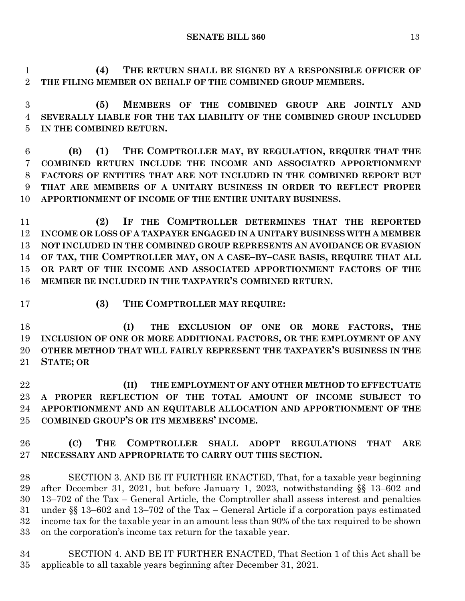**(4) THE RETURN SHALL BE SIGNED BY A RESPONSIBLE OFFICER OF** 

**THE FILING MEMBER ON BEHALF OF THE COMBINED GROUP MEMBERS.**

 **(5) MEMBERS OF THE COMBINED GROUP ARE JOINTLY AND SEVERALLY LIABLE FOR THE TAX LIABILITY OF THE COMBINED GROUP INCLUDED IN THE COMBINED RETURN.**

 **(B) (1) THE COMPTROLLER MAY, BY REGULATION, REQUIRE THAT THE COMBINED RETURN INCLUDE THE INCOME AND ASSOCIATED APPORTIONMENT FACTORS OF ENTITIES THAT ARE NOT INCLUDED IN THE COMBINED REPORT BUT THAT ARE MEMBERS OF A UNITARY BUSINESS IN ORDER TO REFLECT PROPER APPORTIONMENT OF INCOME OF THE ENTIRE UNITARY BUSINESS.**

 **(2) IF THE COMPTROLLER DETERMINES THAT THE REPORTED INCOME OR LOSS OF A TAXPAYER ENGAGED IN A UNITARY BUSINESS WITH A MEMBER NOT INCLUDED IN THE COMBINED GROUP REPRESENTS AN AVOIDANCE OR EVASION OF TAX, THE COMPTROLLER MAY, ON A CASE–BY–CASE BASIS, REQUIRE THAT ALL OR PART OF THE INCOME AND ASSOCIATED APPORTIONMENT FACTORS OF THE MEMBER BE INCLUDED IN THE TAXPAYER'S COMBINED RETURN.**

**(3) THE COMPTROLLER MAY REQUIRE:**

 **(I) THE EXCLUSION OF ONE OR MORE FACTORS, THE INCLUSION OF ONE OR MORE ADDITIONAL FACTORS, OR THE EMPLOYMENT OF ANY OTHER METHOD THAT WILL FAIRLY REPRESENT THE TAXPAYER'S BUSINESS IN THE STATE; OR**

 **(II) THE EMPLOYMENT OF ANY OTHER METHOD TO EFFECTUATE A PROPER REFLECTION OF THE TOTAL AMOUNT OF INCOME SUBJECT TO APPORTIONMENT AND AN EQUITABLE ALLOCATION AND APPORTIONMENT OF THE COMBINED GROUP'S OR ITS MEMBERS' INCOME.**

## **(C) THE COMPTROLLER SHALL ADOPT REGULATIONS THAT ARE NECESSARY AND APPROPRIATE TO CARRY OUT THIS SECTION.**

 SECTION 3. AND BE IT FURTHER ENACTED, That, for a taxable year beginning after December 31, 2021, but before January 1, 2023, notwithstanding §§ 13–602 and 13–702 of the Tax – General Article, the Comptroller shall assess interest and penalties under §§ 13–602 and 13–702 of the Tax – General Article if a corporation pays estimated income tax for the taxable year in an amount less than 90% of the tax required to be shown on the corporation's income tax return for the taxable year.

 SECTION 4. AND BE IT FURTHER ENACTED, That Section 1 of this Act shall be applicable to all taxable years beginning after December 31, 2021.